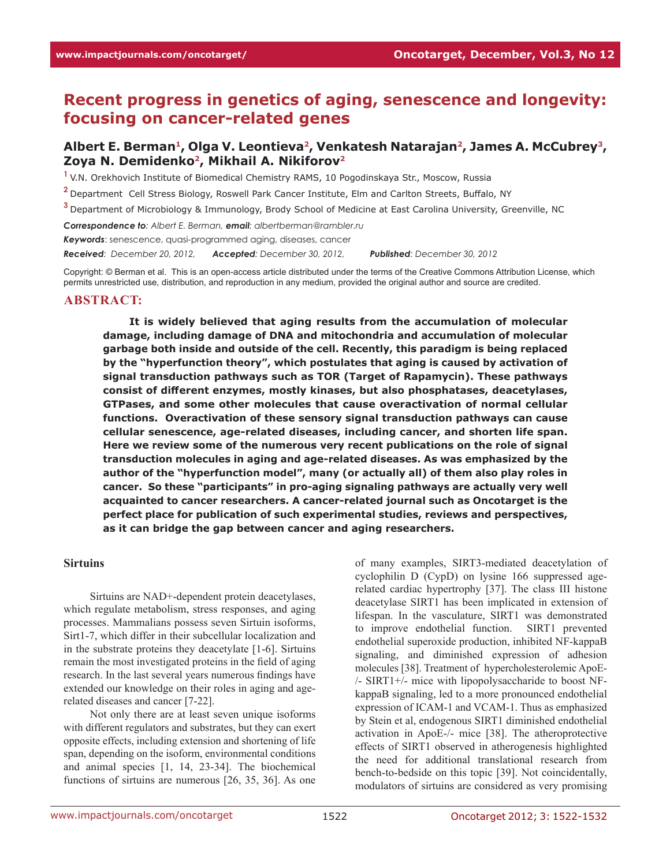# **Recent progress in genetics of aging, senescence and longevity: focusing on cancer-related genes**

## Albert E. Berman<sup>1</sup>, Olga V. Leontieva<sup>2</sup>, Venkatesh Natarajan<sup>2</sup>, James A. McCubrey<sup>3</sup>, **Zoya N. Demidenko2, Mikhail A. Nikiforov2**

<sup>1</sup> V.N. Orekhovich Institute of Biomedical Chemistry RAMS, 10 Pogodinskaya Str., Moscow, Russia

- **<sup>2</sup>**Department Cell Stress Biology, Roswell Park Cancer Institute, Elm and Carlton Streets, Buffalo, NY
- **<sup>3</sup>**Department of Microbiology & Immunology, Brody School of Medicine at East Carolina University, Greenville, NC

*Correspondence to: Albert E. Berman, email: albertberman@rambler.ru*

*Keywords*: senescence, quasi-programmed aging, diseases, cancer

*Received: December 20, 2012, Accepted: December 30, 2012, Published: December 30, 2012*

Copyright: © Berman et al. This is an open-access article distributed under the terms of the Creative Commons Attribution License, which permits unrestricted use, distribution, and reproduction in any medium, provided the original author and source are credited.

#### **ABSTRACT:**

**It is widely believed that aging results from the accumulation of molecular damage, including damage of DNA and mitochondria and accumulation of molecular garbage both inside and outside of the cell. Recently, this paradigm is being replaced by the "hyperfunction theory", which postulates that aging is caused by activation of signal transduction pathways such as TOR (Target of Rapamycin). These pathways consist of different enzymes, mostly kinases, but also phosphatases, deacetylases, GTPases, and some other molecules that cause overactivation of normal cellular functions. Overactivation of these sensory signal transduction pathways can cause cellular senescence, age-related diseases, including cancer, and shorten life span. Here we review some of the numerous very recent publications on the role of signal transduction molecules in aging and age-related diseases. As was emphasized by the author of the "hyperfunction model", many (or actually all) of them also play roles in cancer. So these "participants" in pro-aging signaling pathways are actually very well acquainted to cancer researchers. A cancer-related journal such as Oncotarget is the perfect place for publication of such experimental studies, reviews and perspectives, as it can bridge the gap between cancer and aging researchers.** 

#### **Sirtuins**

Sirtuins are NAD+-dependent protein deacetylases, which regulate metabolism, stress responses, and aging processes. Mammalians possess seven Sirtuin isoforms, Sirt1-7, which differ in their subcellular localization and in the substrate proteins they deacetylate [1-6]. Sirtuins remain the most investigated proteins in the field of aging research. In the last several years numerous findings have extended our knowledge on their roles in aging and agerelated diseases and cancer [7-22].

Not only there are at least seven unique isoforms with different regulators and substrates, but they can exert opposite effects, including extension and shortening of life span, depending on the isoform, environmental conditions and animal species [1, 14, 23-34]. The biochemical functions of sirtuins are numerous [26, 35, 36]. As one of many examples, SIRT3-mediated deacetylation of cyclophilin D (CypD) on lysine 166 suppressed agerelated cardiac hypertrophy [37]. The class III histone deacetylase SIRT1 has been implicated in extension of lifespan. In the vasculature, SIRT1 was demonstrated to improve endothelial function. SIRT1 prevented endothelial superoxide production, inhibited NF-kappaB signaling, and diminished expression of adhesion molecules [38]. Treatment of hypercholesterolemic ApoE- /- SIRT1+/- mice with lipopolysaccharide to boost NFkappaB signaling, led to a more pronounced endothelial expression of ICAM-1 and VCAM-1. Thus as emphasized by Stein et al, endogenous SIRT1 diminished endothelial activation in ApoE-/- mice [38]. The atheroprotective effects of SIRT1 observed in atherogenesis highlighted the need for additional translational research from bench-to-bedside on this topic [39]. Not coincidentally, modulators of sirtuins are considered as very promising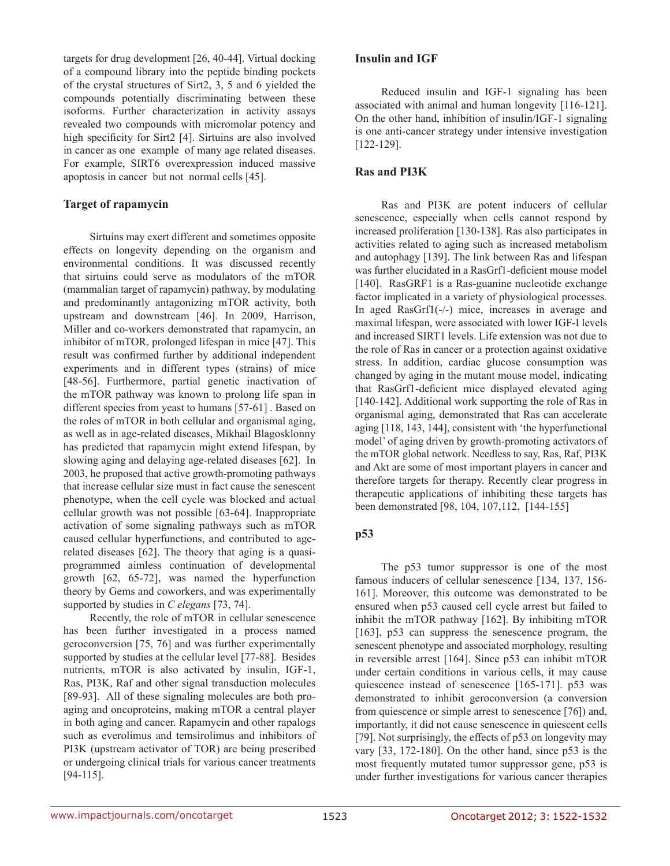targets for drug development [26, 40-44]. Virtual docking of a compound library into the peptide binding pockets of the crystal structures of Sirt2, 3, 5 and 6 yielded the compounds potentially discriminating between these isoforms. Further characterization in activity assays revealed two compounds with micromolar potency and high specificity for Sirt2 [4]. Sirtuins are also involved in cancer as one example of many age related diseases. For example, SIRT6 overexpression induced massive apoptosis in cancer but not normal cells [45].

## **Target of rapamycin**

Sirtuins may exert different and sometimes opposite effects on longevity depending on the organism and environmental conditions. It was discussed recently that sirtuins could serve as modulators of the mTOR (mammalian target of rapamycin) pathway, by modulating and predominantly antagonizing mTOR activity, both upstream and downstream [46]. In 2009, Harrison, Miller and co-workers demonstrated that rapamycin, an inhibitor of mTOR, prolonged lifespan in mice [47]. This result was confirmed further by additional independent experiments and in different types (strains) of mice [48-56]. Furthermore, partial genetic inactivation of the mTOR pathway was known to prolong life span in different species from yeast to humans [57-61] . Based on the roles of mTOR in both cellular and organismal aging, as well as in age-related diseases, Mikhail Blagosklonny has predicted that rapamycin might extend lifespan, by slowing aging and delaying age-related diseases [62]. In 2003, he proposed that active growth-promoting pathways that increase cellular size must in fact cause the senescent phenotype, when the cell cycle was blocked and actual cellular growth was not possible [63-64]. Inappropriate activation of some signaling pathways such as mTOR caused cellular hyperfunctions, and contributed to agerelated diseases [62]. The theory that aging is a quasiprogrammed aimless continuation of developmental growth [62, 65-72], was named the hyperfunction theory by Gems and coworkers, and was experimentally supported by studies in *C elegans* [73, 74].

Recently, the role of mTOR in cellular senescence has been further investigated in a process named geroconversion [75, 76] and was further experimentally supported by studies at the cellular level [77-88]. Besides nutrients, mTOR is also activated by insulin, IGF-1, Ras, PI3K, Raf and other signal transduction molecules [89-93]. All of these signaling molecules are both proaging and oncoproteins, making mTOR a central player in both aging and cancer. Rapamycin and other rapalogs such as everolimus and temsirolimus and inhibitors of PI3K (upstream activator of TOR) are being prescribed or undergoing clinical trials for various cancer treatments [94-115].

#### **Insulin and IGF**

Reduced insulin and IGF-1 signaling has been associated with animal and human longevity [116-121]. On the other hand, inhibition of insulin/IGF-1 signaling is one anti-cancer strategy under intensive investigation [122-129].

### **Ras and PI3K**

Ras and PI3K are potent inducers of cellular senescence, especially when cells cannot respond by increased proliferation [130-138]. Ras also participates in activities related to aging such as increased metabolism and autophagy [139]. The link between Ras and lifespan was further elucidated in a RasGrf1-deficient mouse model [140]. RasGRF1 is a Ras-guanine nucleotide exchange factor implicated in a variety of physiological processes. In aged RasGrf1(-/-) mice, increases in average and maximal lifespan, were associated with lower IGF-I levels and increased SIRT1 levels. Life extension was not due to the role of Ras in cancer or a protection against oxidative stress. In addition, cardiac glucose consumption was changed by aging in the mutant mouse model, indicating that RasGrf1-deficient mice displayed elevated aging [140-142]. Additional work supporting the role of Ras in organismal aging, demonstrated that Ras can accelerate aging [118, 143, 144], consistent with 'the hyperfunctional model' of aging driven by growth-promoting activators of the mTOR global network. Needless to say, Ras, Raf, PI3K and Akt are some of most important players in cancer and therefore targets for therapy. Recently clear progress in therapeutic applications of inhibiting these targets has been demonstrated [98, 104, 107,112, [144-155]

## **p53**

The p53 tumor suppressor is one of the most famous inducers of cellular senescence [134, 137, 156- 161]. Moreover, this outcome was demonstrated to be ensured when p53 caused cell cycle arrest but failed to inhibit the mTOR pathway [162]. By inhibiting mTOR [163], p53 can suppress the senescence program, the senescent phenotype and associated morphology, resulting in reversible arrest [164]. Since p53 can inhibit mTOR under certain conditions in various cells, it may cause quiescence instead of senescence [165-171]. p53 was demonstrated to inhibit geroconversion (a conversion from quiescence or simple arrest to senescence [76]) and, importantly, it did not cause senescence in quiescent cells [79]. Not surprisingly, the effects of p53 on longevity may vary [33, 172-180]. On the other hand, since p53 is the most frequently mutated tumor suppressor gene, p53 is under further investigations for various cancer therapies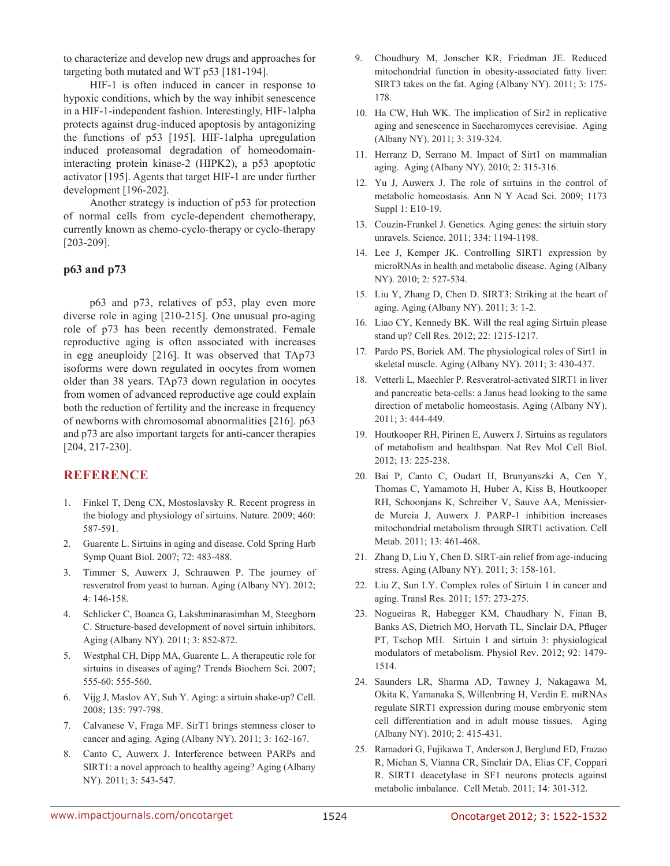to characterize and develop new drugs and approaches for targeting both mutated and WT p53 [181-194].

HIF-1 is often induced in cancer in response to hypoxic conditions, which by the way inhibit senescence in a HIF-1-independent fashion. Interestingly, HIF-1alpha protects against drug-induced apoptosis by antagonizing the functions of p53 [195]. HIF-1alpha upregulation induced proteasomal degradation of homeodomaininteracting protein kinase-2 (HIPK2), a p53 apoptotic activator [195]. Agents that target HIF-1 are under further development [196-202].

Another strategy is induction of p53 for protection of normal cells from cycle-dependent chemotherapy, currently known as chemo-cyclo-therapy or cyclo-therapy [203-209].

## **p63 and p73**

p63 and p73, relatives of p53, play even more diverse role in aging [210-215]. One unusual pro-aging role of p73 has been recently demonstrated. Female reproductive aging is often associated with increases in egg aneuploidy [216]. It was observed that TAp73 isoforms were down regulated in oocytes from women older than 38 years. TAp73 down regulation in oocytes from women of advanced reproductive age could explain both the reduction of fertility and the increase in frequency of newborns with chromosomal abnormalities [216]. p63 and p73 are also important targets for anti-cancer therapies [204, 217-230].

## **REFERENCE**

- 1. Finkel T, Deng CX, Mostoslavsky R. Recent progress in the biology and physiology of sirtuins. Nature. 2009; 460: 587-591.
- 2. Guarente L. Sirtuins in aging and disease. Cold Spring Harb Symp Quant Biol. 2007; 72: 483-488.
- 3. Timmer S, Auwerx J, Schrauwen P. The journey of resveratrol from yeast to human. Aging (Albany NY). 2012; 4: 146-158.
- 4. Schlicker C, Boanca G, Lakshminarasimhan M, Steegborn C. Structure-based development of novel sirtuin inhibitors. Aging (Albany NY). 2011; 3: 852-872.
- 5. Westphal CH, Dipp MA, Guarente L. A therapeutic role for sirtuins in diseases of aging? Trends Biochem Sci. 2007; 555-60: 555-560.
- 6. Vijg J, Maslov AY, Suh Y. Aging: a sirtuin shake-up? Cell. 2008; 135: 797-798.
- 7. Calvanese V, Fraga MF. SirT1 brings stemness closer to cancer and aging. Aging (Albany NY). 2011; 3: 162-167.
- 8. Canto C, Auwerx J. Interference between PARPs and SIRT1: a novel approach to healthy ageing? Aging (Albany NY). 2011; 3: 543-547.
- 9. Choudhury M, Jonscher KR, Friedman JE. Reduced mitochondrial function in obesity-associated fatty liver: SIRT3 takes on the fat. Aging (Albany NY). 2011; 3: 175- 178.
- 10. Ha CW, Huh WK. The implication of Sir2 in replicative aging and senescence in Saccharomyces cerevisiae. Aging (Albany NY). 2011; 3: 319-324.
- 11. Herranz D, Serrano M. Impact of Sirt1 on mammalian aging. Aging (Albany NY). 2010; 2: 315-316.
- 12. Yu J, Auwerx J. The role of sirtuins in the control of metabolic homeostasis. Ann N Y Acad Sci. 2009; 1173 Suppl 1: E10-19.
- 13. Couzin-Frankel J. Genetics. Aging genes: the sirtuin story unravels. Science. 2011; 334: 1194-1198.
- 14. Lee J, Kemper JK. Controlling SIRT1 expression by microRNAs in health and metabolic disease. Aging (Albany NY). 2010; 2: 527-534.
- 15. Liu Y, Zhang D, Chen D. SIRT3: Striking at the heart of aging. Aging (Albany NY). 2011; 3: 1-2.
- 16. Liao CY, Kennedy BK. Will the real aging Sirtuin please stand up? Cell Res. 2012; 22: 1215-1217.
- 17. Pardo PS, Boriek AM. The physiological roles of Sirt1 in skeletal muscle. Aging (Albany NY). 2011; 3: 430-437.
- 18. Vetterli L, Maechler P. Resveratrol-activated SIRT1 in liver and pancreatic beta-cells: a Janus head looking to the same direction of metabolic homeostasis. Aging (Albany NY). 2011; 3: 444-449.
- 19. Houtkooper RH, Pirinen E, Auwerx J. Sirtuins as regulators of metabolism and healthspan. Nat Rev Mol Cell Biol. 2012; 13: 225-238.
- 20. Bai P, Canto C, Oudart H, Brunyanszki A, Cen Y, Thomas C, Yamamoto H, Huber A, Kiss B, Houtkooper RH, Schoonjans K, Schreiber V, Sauve AA, Menissierde Murcia J, Auwerx J. PARP-1 inhibition increases mitochondrial metabolism through SIRT1 activation. Cell Metab. 2011; 13: 461-468.
- 21. Zhang D, Liu Y, Chen D. SIRT-ain relief from age-inducing stress. Aging (Albany NY). 2011; 3: 158-161.
- 22. Liu Z, Sun LY. Complex roles of Sirtuin 1 in cancer and aging. Transl Res. 2011; 157: 273-275.
- 23. Nogueiras R, Habegger KM, Chaudhary N, Finan B, Banks AS, Dietrich MO, Horvath TL, Sinclair DA, Pfluger PT, Tschop MH. Sirtuin 1 and sirtuin 3: physiological modulators of metabolism. Physiol Rev. 2012; 92: 1479- 1514.
- 24. Saunders LR, Sharma AD, Tawney J, Nakagawa M, Okita K, Yamanaka S, Willenbring H, Verdin E. miRNAs regulate SIRT1 expression during mouse embryonic stem cell differentiation and in adult mouse tissues. Aging (Albany NY). 2010; 2: 415-431.
- 25. Ramadori G, Fujikawa T, Anderson J, Berglund ED, Frazao R, Michan S, Vianna CR, Sinclair DA, Elias CF, Coppari R. SIRT1 deacetylase in SF1 neurons protects against metabolic imbalance. Cell Metab. 2011; 14: 301-312.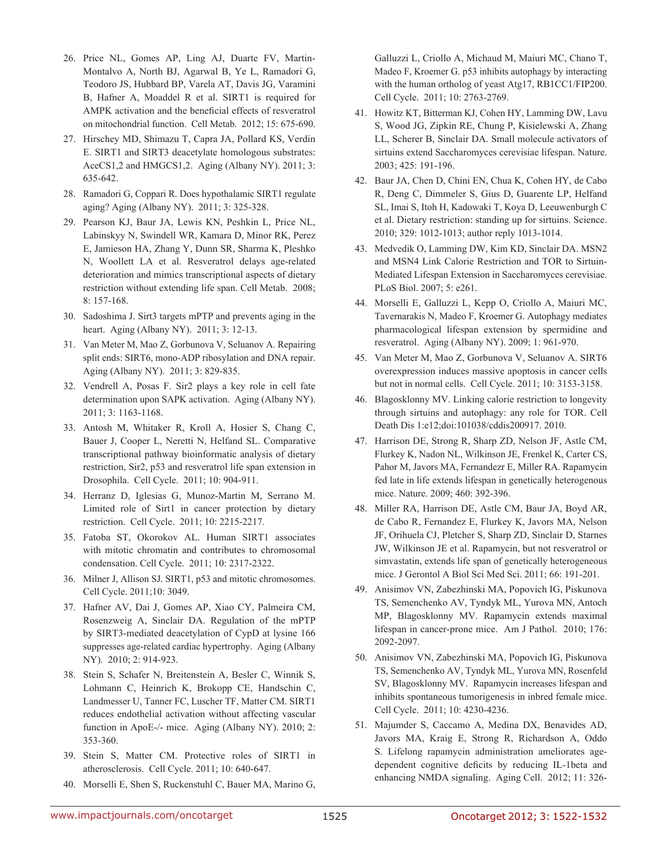- 26. Price NL, Gomes AP, Ling AJ, Duarte FV, Martin-Montalvo A, North BJ, Agarwal B, Ye L, Ramadori G, Teodoro JS, Hubbard BP, Varela AT, Davis JG, Varamini B, Hafner A, Moaddel R et al. SIRT1 is required for AMPK activation and the beneficial effects of resveratrol on mitochondrial function. Cell Metab. 2012; 15: 675-690.
- 27. Hirschey MD, Shimazu T, Capra JA, Pollard KS, Verdin E. SIRT1 and SIRT3 deacetylate homologous substrates: AceCS1,2 and HMGCS1,2. Aging (Albany NY). 2011; 3: 635-642.
- 28. Ramadori G, Coppari R. Does hypothalamic SIRT1 regulate aging? Aging (Albany NY). 2011; 3: 325-328.
- 29. Pearson KJ, Baur JA, Lewis KN, Peshkin L, Price NL, Labinskyy N, Swindell WR, Kamara D, Minor RK, Perez E, Jamieson HA, Zhang Y, Dunn SR, Sharma K, Pleshko N, Woollett LA et al. Resveratrol delays age-related deterioration and mimics transcriptional aspects of dietary restriction without extending life span. Cell Metab. 2008; 8: 157-168.
- 30. Sadoshima J. Sirt3 targets mPTP and prevents aging in the heart. Aging (Albany NY). 2011; 3: 12-13.
- 31. Van Meter M, Mao Z, Gorbunova V, Seluanov A. Repairing split ends: SIRT6, mono-ADP ribosylation and DNA repair. Aging (Albany NY). 2011; 3: 829-835.
- 32. Vendrell A, Posas F. Sir2 plays a key role in cell fate determination upon SAPK activation. Aging (Albany NY). 2011; 3: 1163-1168.
- 33. Antosh M, Whitaker R, Kroll A, Hosier S, Chang C, Bauer J, Cooper L, Neretti N, Helfand SL. Comparative transcriptional pathway bioinformatic analysis of dietary restriction, Sir2, p53 and resveratrol life span extension in Drosophila. Cell Cycle. 2011; 10: 904-911.
- 34. Herranz D, Iglesias G, Munoz-Martin M, Serrano M. Limited role of Sirt1 in cancer protection by dietary restriction. Cell Cycle. 2011; 10: 2215-2217.
- 35. Fatoba ST, Okorokov AL. Human SIRT1 associates with mitotic chromatin and contributes to chromosomal condensation. Cell Cycle. 2011; 10: 2317-2322.
- 36. Milner J, Allison SJ. SIRT1, p53 and mitotic chromosomes. Cell Cycle. 2011;10: 3049.
- 37. Hafner AV, Dai J, Gomes AP, Xiao CY, Palmeira CM, Rosenzweig A, Sinclair DA. Regulation of the mPTP by SIRT3-mediated deacetylation of CypD at lysine 166 suppresses age-related cardiac hypertrophy. Aging (Albany NY). 2010; 2: 914-923.
- 38. Stein S, Schafer N, Breitenstein A, Besler C, Winnik S, Lohmann C, Heinrich K, Brokopp CE, Handschin C, Landmesser U, Tanner FC, Luscher TF, Matter CM. SIRT1 reduces endothelial activation without affecting vascular function in ApoE-/- mice. Aging (Albany NY). 2010; 2: 353-360.
- 39. Stein S, Matter CM. Protective roles of SIRT1 in atherosclerosis. Cell Cycle. 2011; 10: 640-647.
- 40. Morselli E, Shen S, Ruckenstuhl C, Bauer MA, Marino G,

Galluzzi L, Criollo A, Michaud M, Maiuri MC, Chano T, Madeo F, Kroemer G. p53 inhibits autophagy by interacting with the human ortholog of yeast Atg17, RB1CC1/FIP200. Cell Cycle. 2011; 10: 2763-2769.

- 41. Howitz KT, Bitterman KJ, Cohen HY, Lamming DW, Lavu S, Wood JG, Zipkin RE, Chung P, Kisielewski A, Zhang LL, Scherer B, Sinclair DA. Small molecule activators of sirtuins extend Saccharomyces cerevisiae lifespan. Nature. 2003; 425: 191-196.
- 42. Baur JA, Chen D, Chini EN, Chua K, Cohen HY, de Cabo R, Deng C, Dimmeler S, Gius D, Guarente LP, Helfand SL, Imai S, Itoh H, Kadowaki T, Koya D, Leeuwenburgh C et al. Dietary restriction: standing up for sirtuins. Science. 2010; 329: 1012-1013; author reply 1013-1014.
- 43. Medvedik O, Lamming DW, Kim KD, Sinclair DA. MSN2 and MSN4 Link Calorie Restriction and TOR to Sirtuin-Mediated Lifespan Extension in Saccharomyces cerevisiae. PLoS Biol. 2007; 5: e261.
- 44. Morselli E, Galluzzi L, Kepp O, Criollo A, Maiuri MC, Tavernarakis N, Madeo F, Kroemer G. Autophagy mediates pharmacological lifespan extension by spermidine and resveratrol. Aging (Albany NY). 2009; 1: 961-970.
- 45. Van Meter M, Mao Z, Gorbunova V, Seluanov A. SIRT6 overexpression induces massive apoptosis in cancer cells but not in normal cells. Cell Cycle. 2011; 10: 3153-3158.
- 46. Blagosklonny MV. Linking calorie restriction to longevity through sirtuins and autophagy: any role for TOR. Cell Death Dis 1:e12;doi:101038/cddis200917. 2010.
- 47. Harrison DE, Strong R, Sharp ZD, Nelson JF, Astle CM, Flurkey K, Nadon NL, Wilkinson JE, Frenkel K, Carter CS, Pahor M, Javors MA, Fernandezr E, Miller RA. Rapamycin fed late in life extends lifespan in genetically heterogenous mice. Nature. 2009; 460: 392-396.
- 48. Miller RA, Harrison DE, Astle CM, Baur JA, Boyd AR, de Cabo R, Fernandez E, Flurkey K, Javors MA, Nelson JF, Orihuela CJ, Pletcher S, Sharp ZD, Sinclair D, Starnes JW, Wilkinson JE et al. Rapamycin, but not resveratrol or simvastatin, extends life span of genetically heterogeneous mice. J Gerontol A Biol Sci Med Sci. 2011; 66: 191-201.
- 49. Anisimov VN, Zabezhinski MA, Popovich IG, Piskunova TS, Semenchenko AV, Tyndyk ML, Yurova MN, Antoch MP, Blagosklonny MV. Rapamycin extends maximal lifespan in cancer-prone mice. Am J Pathol. 2010; 176: 2092-2097.
- 50. Anisimov VN, Zabezhinski MA, Popovich IG, Piskunova TS, Semenchenko AV, Tyndyk ML, Yurova MN, Rosenfeld SV, Blagosklonny MV. Rapamycin increases lifespan and inhibits spontaneous tumorigenesis in inbred female mice. Cell Cycle. 2011; 10: 4230-4236.
- 51. Majumder S, Caccamo A, Medina DX, Benavides AD, Javors MA, Kraig E, Strong R, Richardson A, Oddo S. Lifelong rapamycin administration ameliorates agedependent cognitive deficits by reducing IL-1beta and enhancing NMDA signaling. Aging Cell. 2012; 11: 326-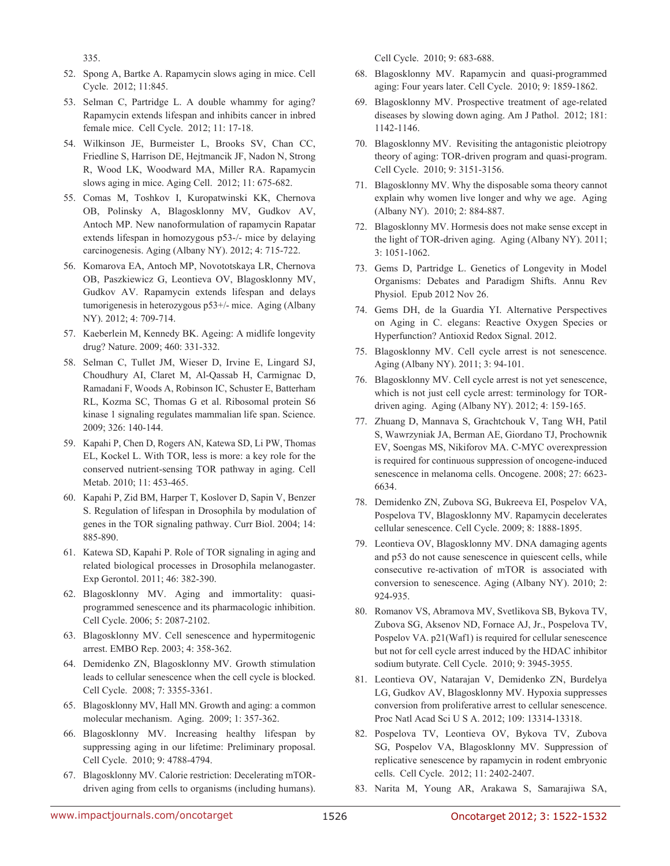335.

- 52. Spong A, Bartke A. Rapamycin slows aging in mice. Cell Cycle. 2012; 11:845.
- 53. Selman C, Partridge L. A double whammy for aging? Rapamycin extends lifespan and inhibits cancer in inbred female mice. Cell Cycle. 2012; 11: 17-18.
- 54. Wilkinson JE, Burmeister L, Brooks SV, Chan CC, Friedline S, Harrison DE, Hejtmancik JF, Nadon N, Strong R, Wood LK, Woodward MA, Miller RA. Rapamycin slows aging in mice. Aging Cell. 2012; 11: 675-682.
- 55. Comas M, Toshkov I, Kuropatwinski KK, Chernova OB, Polinsky A, Blagosklonny MV, Gudkov AV, Antoch MP. New nanoformulation of rapamycin Rapatar extends lifespan in homozygous p53-/- mice by delaying carcinogenesis. Aging (Albany NY). 2012; 4: 715-722.
- 56. Komarova EA, Antoch MP, Novototskaya LR, Chernova OB, Paszkiewicz G, Leontieva OV, Blagosklonny MV, Gudkov AV. Rapamycin extends lifespan and delays tumorigenesis in heterozygous p53+/- mice. Aging (Albany NY). 2012; 4: 709-714.
- 57. Kaeberlein M, Kennedy BK. Ageing: A midlife longevity drug? Nature. 2009; 460: 331-332.
- 58. Selman C, Tullet JM, Wieser D, Irvine E, Lingard SJ, Choudhury AI, Claret M, Al-Qassab H, Carmignac D, Ramadani F, Woods A, Robinson IC, Schuster E, Batterham RL, Kozma SC, Thomas G et al. Ribosomal protein S6 kinase 1 signaling regulates mammalian life span. Science. 2009; 326: 140-144.
- 59. Kapahi P, Chen D, Rogers AN, Katewa SD, Li PW, Thomas EL, Kockel L. With TOR, less is more: a key role for the conserved nutrient-sensing TOR pathway in aging. Cell Metab. 2010; 11: 453-465.
- 60. Kapahi P, Zid BM, Harper T, Koslover D, Sapin V, Benzer S. Regulation of lifespan in Drosophila by modulation of genes in the TOR signaling pathway. Curr Biol. 2004; 14: 885-890.
- 61. Katewa SD, Kapahi P. Role of TOR signaling in aging and related biological processes in Drosophila melanogaster. Exp Gerontol. 2011; 46: 382-390.
- 62. Blagosklonny MV. Aging and immortality: quasiprogrammed senescence and its pharmacologic inhibition. Cell Cycle. 2006; 5: 2087-2102.
- 63. Blagosklonny MV. Cell senescence and hypermitogenic arrest. EMBO Rep. 2003; 4: 358-362.
- 64. Demidenko ZN, Blagosklonny MV. Growth stimulation leads to cellular senescence when the cell cycle is blocked. Cell Cycle. 2008; 7: 3355-3361.
- 65. Blagosklonny MV, Hall MN. Growth and aging: a common molecular mechanism. Aging. 2009; 1: 357-362.
- 66. Blagosklonny MV. Increasing healthy lifespan by suppressing aging in our lifetime: Preliminary proposal. Cell Cycle. 2010; 9: 4788-4794.
- 67. Blagosklonny MV. Calorie restriction: Decelerating mTORdriven aging from cells to organisms (including humans).

Cell Cycle. 2010; 9: 683-688.

- 68. Blagosklonny MV. Rapamycin and quasi-programmed aging: Four years later. Cell Cycle. 2010; 9: 1859-1862.
- 69. Blagosklonny MV. Prospective treatment of age-related diseases by slowing down aging. Am J Pathol. 2012; 181: 1142-1146.
- 70. Blagosklonny MV. Revisiting the antagonistic pleiotropy theory of aging: TOR-driven program and quasi-program. Cell Cycle. 2010; 9: 3151-3156.
- 71. Blagosklonny MV. Why the disposable soma theory cannot explain why women live longer and why we age. Aging (Albany NY). 2010; 2: 884-887.
- 72. Blagosklonny MV. Hormesis does not make sense except in the light of TOR-driven aging. Aging (Albany NY). 2011; 3: 1051-1062.
- 73. Gems D, Partridge L. Genetics of Longevity in Model Organisms: Debates and Paradigm Shifts. Annu Rev Physiol. Epub 2012 Nov 26.
- 74. Gems DH, de la Guardia YI. Alternative Perspectives on Aging in C. elegans: Reactive Oxygen Species or Hyperfunction? Antioxid Redox Signal. 2012.
- 75. Blagosklonny MV. Cell cycle arrest is not senescence. Aging (Albany NY). 2011; 3: 94-101.
- 76. Blagosklonny MV. Cell cycle arrest is not yet senescence, which is not just cell cycle arrest: terminology for TORdriven aging. Aging (Albany NY). 2012; 4: 159-165.
- 77. Zhuang D, Mannava S, Grachtchouk V, Tang WH, Patil S, Wawrzyniak JA, Berman AE, Giordano TJ, Prochownik EV, Soengas MS, Nikiforov MA. C-MYC overexpression is required for continuous suppression of oncogene-induced senescence in melanoma cells. Oncogene. 2008; 27: 6623- 6634.
- 78. Demidenko ZN, Zubova SG, Bukreeva EI, Pospelov VA, Pospelova TV, Blagosklonny MV. Rapamycin decelerates cellular senescence. Cell Cycle. 2009; 8: 1888-1895.
- 79. Leontieva OV, Blagosklonny MV. DNA damaging agents and p53 do not cause senescence in quiescent cells, while consecutive re-activation of mTOR is associated with conversion to senescence. Aging (Albany NY). 2010; 2: 924-935.
- 80. Romanov VS, Abramova MV, Svetlikova SB, Bykova TV, Zubova SG, Aksenov ND, Fornace AJ, Jr., Pospelova TV, Pospelov VA. p21(Waf1) is required for cellular senescence but not for cell cycle arrest induced by the HDAC inhibitor sodium butyrate. Cell Cycle. 2010; 9: 3945-3955.
- 81. Leontieva OV, Natarajan V, Demidenko ZN, Burdelya LG, Gudkov AV, Blagosklonny MV. Hypoxia suppresses conversion from proliferative arrest to cellular senescence. Proc Natl Acad Sci U S A. 2012; 109: 13314-13318.
- 82. Pospelova TV, Leontieva OV, Bykova TV, Zubova SG, Pospelov VA, Blagosklonny MV. Suppression of replicative senescence by rapamycin in rodent embryonic cells. Cell Cycle. 2012; 11: 2402-2407.
- 83. Narita M, Young AR, Arakawa S, Samarajiwa SA,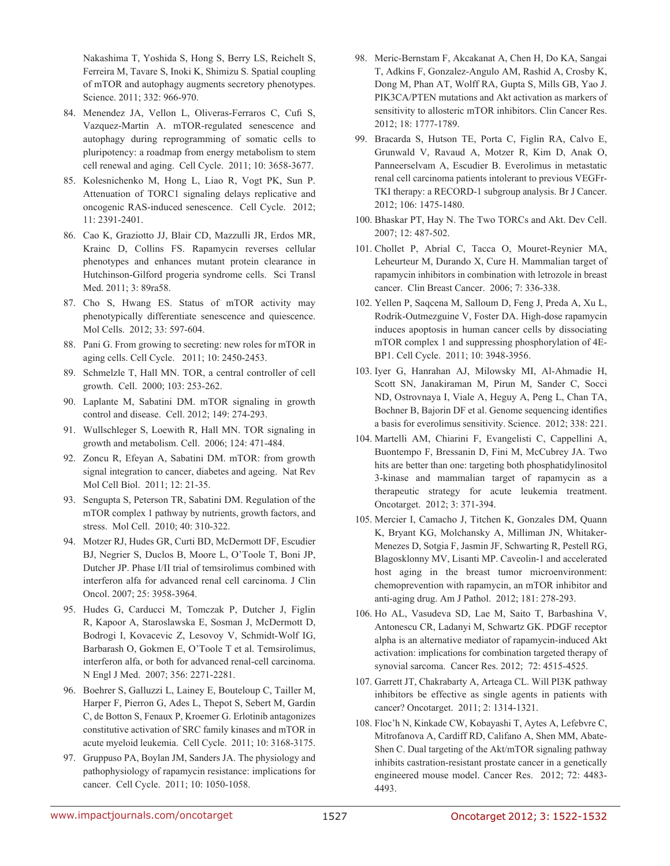Nakashima T, Yoshida S, Hong S, Berry LS, Reichelt S, Ferreira M, Tavare S, Inoki K, Shimizu S. Spatial coupling of mTOR and autophagy augments secretory phenotypes. Science. 2011; 332: 966-970.

- 84. Menendez JA, Vellon L, Oliveras-Ferraros C, Cufi S, Vazquez-Martin A. mTOR-regulated senescence and autophagy during reprogramming of somatic cells to pluripotency: a roadmap from energy metabolism to stem cell renewal and aging. Cell Cycle. 2011; 10: 3658-3677.
- 85. Kolesnichenko M, Hong L, Liao R, Vogt PK, Sun P. Attenuation of TORC1 signaling delays replicative and oncogenic RAS-induced senescence. Cell Cycle. 2012; 11: 2391-2401.
- 86. Cao K, Graziotto JJ, Blair CD, Mazzulli JR, Erdos MR, Krainc D, Collins FS. Rapamycin reverses cellular phenotypes and enhances mutant protein clearance in Hutchinson-Gilford progeria syndrome cells. Sci Transl Med. 2011; 3: 89ra58.
- 87. Cho S, Hwang ES. Status of mTOR activity may phenotypically differentiate senescence and quiescence. Mol Cells. 2012; 33: 597-604.
- 88. Pani G. From growing to secreting: new roles for mTOR in aging cells. Cell Cycle. 2011; 10: 2450-2453.
- 89. Schmelzle T, Hall MN. TOR, a central controller of cell growth. Cell. 2000; 103: 253-262.
- 90. Laplante M, Sabatini DM. mTOR signaling in growth control and disease. Cell. 2012; 149: 274-293.
- 91. Wullschleger S, Loewith R, Hall MN. TOR signaling in growth and metabolism. Cell. 2006; 124: 471-484.
- 92. Zoncu R, Efeyan A, Sabatini DM. mTOR: from growth signal integration to cancer, diabetes and ageing. Nat Rev Mol Cell Biol. 2011; 12: 21-35.
- 93. Sengupta S, Peterson TR, Sabatini DM. Regulation of the mTOR complex 1 pathway by nutrients, growth factors, and stress. Mol Cell. 2010; 40: 310-322.
- 94. Motzer RJ, Hudes GR, Curti BD, McDermott DF, Escudier BJ, Negrier S, Duclos B, Moore L, O'Toole T, Boni JP, Dutcher JP. Phase I/II trial of temsirolimus combined with interferon alfa for advanced renal cell carcinoma. J Clin Oncol. 2007; 25: 3958-3964.
- 95. Hudes G, Carducci M, Tomczak P, Dutcher J, Figlin R, Kapoor A, Staroslawska E, Sosman J, McDermott D, Bodrogi I, Kovacevic Z, Lesovoy V, Schmidt-Wolf IG, Barbarash O, Gokmen E, O'Toole T et al. Temsirolimus, interferon alfa, or both for advanced renal-cell carcinoma. N Engl J Med. 2007; 356: 2271-2281.
- 96. Boehrer S, Galluzzi L, Lainey E, Bouteloup C, Tailler M, Harper F, Pierron G, Ades L, Thepot S, Sebert M, Gardin C, de Botton S, Fenaux P, Kroemer G. Erlotinib antagonizes constitutive activation of SRC family kinases and mTOR in acute myeloid leukemia. Cell Cycle. 2011; 10: 3168-3175.
- 97. Gruppuso PA, Boylan JM, Sanders JA. The physiology and pathophysiology of rapamycin resistance: implications for cancer. Cell Cycle. 2011; 10: 1050-1058.
- 98. Meric-Bernstam F, Akcakanat A, Chen H, Do KA, Sangai T, Adkins F, Gonzalez-Angulo AM, Rashid A, Crosby K, Dong M, Phan AT, Wolff RA, Gupta S, Mills GB, Yao J. PIK3CA/PTEN mutations and Akt activation as markers of sensitivity to allosteric mTOR inhibitors. Clin Cancer Res. 2012; 18: 1777-1789.
- 99. Bracarda S, Hutson TE, Porta C, Figlin RA, Calvo E, Grunwald V, Ravaud A, Motzer R, Kim D, Anak O, Panneerselvam A, Escudier B. Everolimus in metastatic renal cell carcinoma patients intolerant to previous VEGFr-TKI therapy: a RECORD-1 subgroup analysis. Br J Cancer. 2012; 106: 1475-1480.
- 100. Bhaskar PT, Hay N. The Two TORCs and Akt. Dev Cell. 2007; 12: 487-502.
- 101. Chollet P, Abrial C, Tacca O, Mouret-Reynier MA, Leheurteur M, Durando X, Cure H. Mammalian target of rapamycin inhibitors in combination with letrozole in breast cancer. Clin Breast Cancer. 2006; 7: 336-338.
- 102. Yellen P, Saqcena M, Salloum D, Feng J, Preda A, Xu L, Rodrik-Outmezguine V, Foster DA. High-dose rapamycin induces apoptosis in human cancer cells by dissociating mTOR complex 1 and suppressing phosphorylation of 4E-BP1. Cell Cycle. 2011; 10: 3948-3956.
- 103. Iyer G, Hanrahan AJ, Milowsky MI, Al-Ahmadie H, Scott SN, Janakiraman M, Pirun M, Sander C, Socci ND, Ostrovnaya I, Viale A, Heguy A, Peng L, Chan TA, Bochner B, Bajorin DF et al. Genome sequencing identifies a basis for everolimus sensitivity. Science. 2012; 338: 221.
- 104. Martelli AM, Chiarini F, Evangelisti C, Cappellini A, Buontempo F, Bressanin D, Fini M, McCubrey JA. Two hits are better than one: targeting both phosphatidylinositol 3-kinase and mammalian target of rapamycin as a therapeutic strategy for acute leukemia treatment. Oncotarget. 2012; 3: 371-394.
- 105. Mercier I, Camacho J, Titchen K, Gonzales DM, Quann K, Bryant KG, Molchansky A, Milliman JN, Whitaker-Menezes D, Sotgia F, Jasmin JF, Schwarting R, Pestell RG, Blagosklonny MV, Lisanti MP. Caveolin-1 and accelerated host aging in the breast tumor microenvironment: chemoprevention with rapamycin, an mTOR inhibitor and anti-aging drug. Am J Pathol. 2012; 181: 278-293.
- 106. Ho AL, Vasudeva SD, Lae M, Saito T, Barbashina V, Antonescu CR, Ladanyi M, Schwartz GK. PDGF receptor alpha is an alternative mediator of rapamycin-induced Akt activation: implications for combination targeted therapy of synovial sarcoma. Cancer Res. 2012; 72: 4515-4525.
- 107. Garrett JT, Chakrabarty A, Arteaga CL. Will PI3K pathway inhibitors be effective as single agents in patients with cancer? Oncotarget. 2011; 2: 1314-1321.
- 108. Floc'h N, Kinkade CW, Kobayashi T, Aytes A, Lefebvre C, Mitrofanova A, Cardiff RD, Califano A, Shen MM, Abate-Shen C. Dual targeting of the Akt/mTOR signaling pathway inhibits castration-resistant prostate cancer in a genetically engineered mouse model. Cancer Res. 2012; 72: 4483- 4493.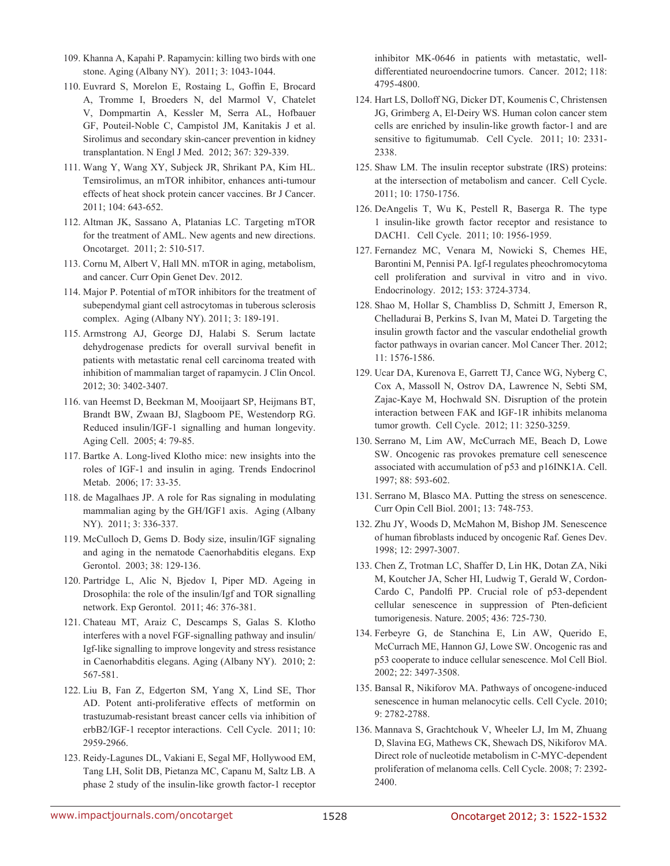- 109. Khanna A, Kapahi P. Rapamycin: killing two birds with one stone. Aging (Albany NY). 2011; 3: 1043-1044.
- 110. Euvrard S, Morelon E, Rostaing L, Goffin E, Brocard A, Tromme I, Broeders N, del Marmol V, Chatelet V, Dompmartin A, Kessler M, Serra AL, Hofbauer GF, Pouteil-Noble C, Campistol JM, Kanitakis J et al. Sirolimus and secondary skin-cancer prevention in kidney transplantation. N Engl J Med. 2012; 367: 329-339.
- 111. Wang Y, Wang XY, Subjeck JR, Shrikant PA, Kim HL. Temsirolimus, an mTOR inhibitor, enhances anti-tumour effects of heat shock protein cancer vaccines. Br J Cancer. 2011; 104: 643-652.
- 112. Altman JK, Sassano A, Platanias LC. Targeting mTOR for the treatment of AML. New agents and new directions. Oncotarget. 2011; 2: 510-517.
- 113. Cornu M, Albert V, Hall MN. mTOR in aging, metabolism, and cancer. Curr Opin Genet Dev. 2012.
- 114. Major P. Potential of mTOR inhibitors for the treatment of subependymal giant cell astrocytomas in tuberous sclerosis complex. Aging (Albany NY). 2011; 3: 189-191.
- 115. Armstrong AJ, George DJ, Halabi S. Serum lactate dehydrogenase predicts for overall survival benefit in patients with metastatic renal cell carcinoma treated with inhibition of mammalian target of rapamycin. J Clin Oncol. 2012; 30: 3402-3407.
- 116. van Heemst D, Beekman M, Mooijaart SP, Heijmans BT, Brandt BW, Zwaan BJ, Slagboom PE, Westendorp RG. Reduced insulin/IGF-1 signalling and human longevity. Aging Cell. 2005; 4: 79-85.
- 117. Bartke A. Long-lived Klotho mice: new insights into the roles of IGF-1 and insulin in aging. Trends Endocrinol Metab. 2006; 17: 33-35.
- 118. de Magalhaes JP. A role for Ras signaling in modulating mammalian aging by the GH/IGF1 axis. Aging (Albany NY). 2011; 3: 336-337.
- 119. McCulloch D, Gems D. Body size, insulin/IGF signaling and aging in the nematode Caenorhabditis elegans. Exp Gerontol. 2003; 38: 129-136.
- 120. Partridge L, Alic N, Bjedov I, Piper MD. Ageing in Drosophila: the role of the insulin/Igf and TOR signalling network. Exp Gerontol. 2011; 46: 376-381.
- 121. Chateau MT, Araiz C, Descamps S, Galas S. Klotho interferes with a novel FGF-signalling pathway and insulin/ Igf-like signalling to improve longevity and stress resistance in Caenorhabditis elegans. Aging (Albany NY). 2010; 2: 567-581.
- 122. Liu B, Fan Z, Edgerton SM, Yang X, Lind SE, Thor AD. Potent anti-proliferative effects of metformin on trastuzumab-resistant breast cancer cells via inhibition of erbB2/IGF-1 receptor interactions. Cell Cycle. 2011; 10: 2959-2966.
- 123. Reidy-Lagunes DL, Vakiani E, Segal MF, Hollywood EM, Tang LH, Solit DB, Pietanza MC, Capanu M, Saltz LB. A phase 2 study of the insulin-like growth factor-1 receptor

inhibitor MK-0646 in patients with metastatic, welldifferentiated neuroendocrine tumors. Cancer. 2012; 118: 4795-4800.

- 124. Hart LS, Dolloff NG, Dicker DT, Koumenis C, Christensen JG, Grimberg A, El-Deiry WS. Human colon cancer stem cells are enriched by insulin-like growth factor-1 and are sensitive to figitumumab. Cell Cycle. 2011; 10: 2331- 2338.
- 125. Shaw LM. The insulin receptor substrate (IRS) proteins: at the intersection of metabolism and cancer. Cell Cycle. 2011; 10: 1750-1756.
- 126. DeAngelis T, Wu K, Pestell R, Baserga R. The type 1 insulin-like growth factor receptor and resistance to DACH1. Cell Cycle. 2011; 10: 1956-1959.
- 127. Fernandez MC, Venara M, Nowicki S, Chemes HE, Barontini M, Pennisi PA. Igf-I regulates pheochromocytoma cell proliferation and survival in vitro and in vivo. Endocrinology. 2012; 153: 3724-3734.
- 128. Shao M, Hollar S, Chambliss D, Schmitt J, Emerson R, Chelladurai B, Perkins S, Ivan M, Matei D. Targeting the insulin growth factor and the vascular endothelial growth factor pathways in ovarian cancer. Mol Cancer Ther. 2012; 11: 1576-1586.
- 129. Ucar DA, Kurenova E, Garrett TJ, Cance WG, Nyberg C, Cox A, Massoll N, Ostrov DA, Lawrence N, Sebti SM, Zajac-Kaye M, Hochwald SN. Disruption of the protein interaction between FAK and IGF-1R inhibits melanoma tumor growth. Cell Cycle. 2012; 11: 3250-3259.
- 130. Serrano M, Lim AW, McCurrach ME, Beach D, Lowe SW. Oncogenic ras provokes premature cell senescence associated with accumulation of p53 and p16INK1A. Cell. 1997; 88: 593-602.
- 131. Serrano M, Blasco MA. Putting the stress on senescence. Curr Opin Cell Biol. 2001; 13: 748-753.
- 132. Zhu JY, Woods D, McMahon M, Bishop JM. Senescence of human fibroblasts induced by oncogenic Raf. Genes Dev. 1998; 12: 2997-3007.
- 133. Chen Z, Trotman LC, Shaffer D, Lin HK, Dotan ZA, Niki M, Koutcher JA, Scher HI, Ludwig T, Gerald W, Cordon-Cardo C, Pandolfi PP. Crucial role of p53-dependent cellular senescence in suppression of Pten-deficient tumorigenesis. Nature. 2005; 436: 725-730.
- 134. Ferbeyre G, de Stanchina E, Lin AW, Querido E, McCurrach ME, Hannon GJ, Lowe SW. Oncogenic ras and p53 cooperate to induce cellular senescence. Mol Cell Biol. 2002; 22: 3497-3508.
- 135. Bansal R, Nikiforov MA. Pathways of oncogene-induced senescence in human melanocytic cells. Cell Cycle. 2010; 9: 2782-2788.
- 136. Mannava S, Grachtchouk V, Wheeler LJ, Im M, Zhuang D, Slavina EG, Mathews CK, Shewach DS, Nikiforov MA. Direct role of nucleotide metabolism in C-MYC-dependent proliferation of melanoma cells. Cell Cycle. 2008; 7: 2392- 2400.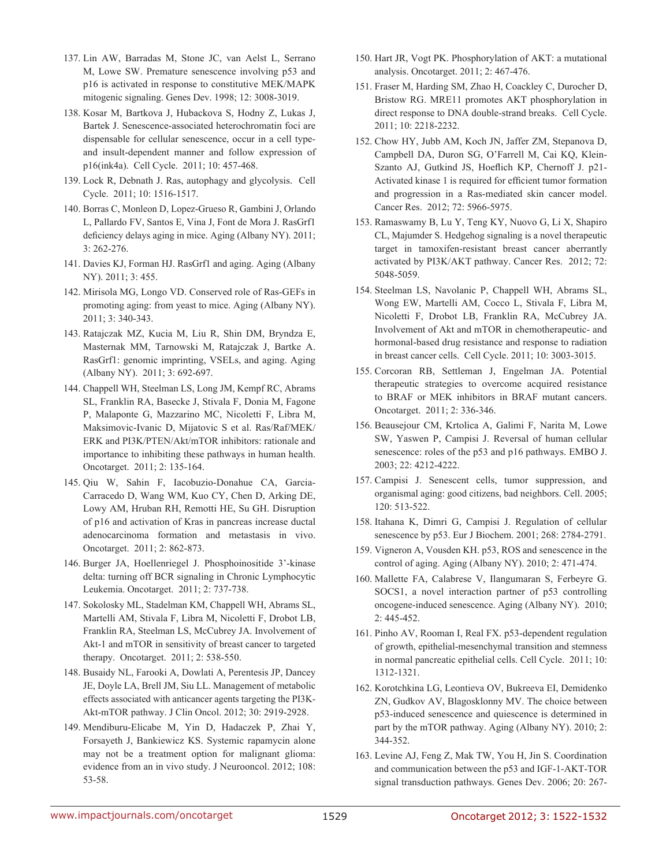- 137. Lin AW, Barradas M, Stone JC, van Aelst L, Serrano M, Lowe SW. Premature senescence involving p53 and p16 is activated in response to constitutive MEK/MAPK mitogenic signaling. Genes Dev. 1998; 12: 3008-3019.
- 138. Kosar M, Bartkova J, Hubackova S, Hodny Z, Lukas J, Bartek J. Senescence-associated heterochromatin foci are dispensable for cellular senescence, occur in a cell typeand insult-dependent manner and follow expression of p16(ink4a). Cell Cycle. 2011; 10: 457-468.
- 139. Lock R, Debnath J. Ras, autophagy and glycolysis. Cell Cycle. 2011; 10: 1516-1517.
- 140. Borras C, Monleon D, Lopez-Grueso R, Gambini J, Orlando L, Pallardo FV, Santos E, Vina J, Font de Mora J. RasGrf1 deficiency delays aging in mice. Aging (Albany NY). 2011; 3: 262-276.
- 141. Davies KJ, Forman HJ. RasGrf1 and aging. Aging (Albany NY). 2011; 3: 455.
- 142. Mirisola MG, Longo VD. Conserved role of Ras-GEFs in promoting aging: from yeast to mice. Aging (Albany NY). 2011; 3: 340-343.
- 143. Ratajczak MZ, Kucia M, Liu R, Shin DM, Bryndza E, Masternak MM, Tarnowski M, Ratajczak J, Bartke A. RasGrf1: genomic imprinting, VSELs, and aging. Aging (Albany NY). 2011; 3: 692-697.
- 144. Chappell WH, Steelman LS, Long JM, Kempf RC, Abrams SL, Franklin RA, Basecke J, Stivala F, Donia M, Fagone P, Malaponte G, Mazzarino MC, Nicoletti F, Libra M, Maksimovic-Ivanic D, Mijatovic S et al. Ras/Raf/MEK/ ERK and PI3K/PTEN/Akt/mTOR inhibitors: rationale and importance to inhibiting these pathways in human health. Oncotarget. 2011; 2: 135-164.
- 145. Qiu W, Sahin F, Iacobuzio-Donahue CA, Garcia-Carracedo D, Wang WM, Kuo CY, Chen D, Arking DE, Lowy AM, Hruban RH, Remotti HE, Su GH. Disruption of p16 and activation of Kras in pancreas increase ductal adenocarcinoma formation and metastasis in vivo. Oncotarget. 2011; 2: 862-873.
- 146. Burger JA, Hoellenriegel J. Phosphoinositide 3'-kinase delta: turning off BCR signaling in Chronic Lymphocytic Leukemia. Oncotarget. 2011; 2: 737-738.
- 147. Sokolosky ML, Stadelman KM, Chappell WH, Abrams SL, Martelli AM, Stivala F, Libra M, Nicoletti F, Drobot LB, Franklin RA, Steelman LS, McCubrey JA. Involvement of Akt-1 and mTOR in sensitivity of breast cancer to targeted therapy. Oncotarget. 2011; 2: 538-550.
- 148. Busaidy NL, Farooki A, Dowlati A, Perentesis JP, Dancey JE, Doyle LA, Brell JM, Siu LL. Management of metabolic effects associated with anticancer agents targeting the PI3K-Akt-mTOR pathway. J Clin Oncol. 2012; 30: 2919-2928.
- 149. Mendiburu-Elicabe M, Yin D, Hadaczek P, Zhai Y, Forsayeth J, Bankiewicz KS. Systemic rapamycin alone may not be a treatment option for malignant glioma: evidence from an in vivo study. J Neurooncol. 2012; 108: 53-58.
- 150. Hart JR, Vogt PK. Phosphorylation of AKT: a mutational analysis. Oncotarget. 2011; 2: 467-476.
- 151. Fraser M, Harding SM, Zhao H, Coackley C, Durocher D, Bristow RG. MRE11 promotes AKT phosphorylation in direct response to DNA double-strand breaks. Cell Cycle. 2011; 10: 2218-2232.
- 152. Chow HY, Jubb AM, Koch JN, Jaffer ZM, Stepanova D, Campbell DA, Duron SG, O'Farrell M, Cai KQ, Klein-Szanto AJ, Gutkind JS, Hoeflich KP, Chernoff J. p21- Activated kinase 1 is required for efficient tumor formation and progression in a Ras-mediated skin cancer model. Cancer Res. 2012; 72: 5966-5975.
- 153. Ramaswamy B, Lu Y, Teng KY, Nuovo G, Li X, Shapiro CL, Majumder S. Hedgehog signaling is a novel therapeutic target in tamoxifen-resistant breast cancer aberrantly activated by PI3K/AKT pathway. Cancer Res. 2012; 72: 5048-5059.
- 154. Steelman LS, Navolanic P, Chappell WH, Abrams SL, Wong EW, Martelli AM, Cocco L, Stivala F, Libra M, Nicoletti F, Drobot LB, Franklin RA, McCubrey JA. Involvement of Akt and mTOR in chemotherapeutic- and hormonal-based drug resistance and response to radiation in breast cancer cells. Cell Cycle. 2011; 10: 3003-3015.
- 155. Corcoran RB, Settleman J, Engelman JA. Potential therapeutic strategies to overcome acquired resistance to BRAF or MEK inhibitors in BRAF mutant cancers. Oncotarget. 2011; 2: 336-346.
- 156. Beausejour CM, Krtolica A, Galimi F, Narita M, Lowe SW, Yaswen P, Campisi J. Reversal of human cellular senescence: roles of the p53 and p16 pathways. EMBO J. 2003; 22: 4212-4222.
- 157. Campisi J. Senescent cells, tumor suppression, and organismal aging: good citizens, bad neighbors. Cell. 2005; 120: 513-522.
- 158. Itahana K, Dimri G, Campisi J. Regulation of cellular senescence by p53. Eur J Biochem. 2001; 268: 2784-2791.
- 159. Vigneron A, Vousden KH. p53, ROS and senescence in the control of aging. Aging (Albany NY). 2010; 2: 471-474.
- 160. Mallette FA, Calabrese V, Ilangumaran S, Ferbeyre G. SOCS1, a novel interaction partner of p53 controlling oncogene-induced senescence. Aging (Albany NY). 2010; 2: 445-452.
- 161. Pinho AV, Rooman I, Real FX. p53-dependent regulation of growth, epithelial-mesenchymal transition and stemness in normal pancreatic epithelial cells. Cell Cycle. 2011; 10: 1312-1321.
- 162. Korotchkina LG, Leontieva OV, Bukreeva EI, Demidenko ZN, Gudkov AV, Blagosklonny MV. The choice between p53-induced senescence and quiescence is determined in part by the mTOR pathway. Aging (Albany NY). 2010; 2: 344-352.
- 163. Levine AJ, Feng Z, Mak TW, You H, Jin S. Coordination and communication between the p53 and IGF-1-AKT-TOR signal transduction pathways. Genes Dev. 2006; 20: 267-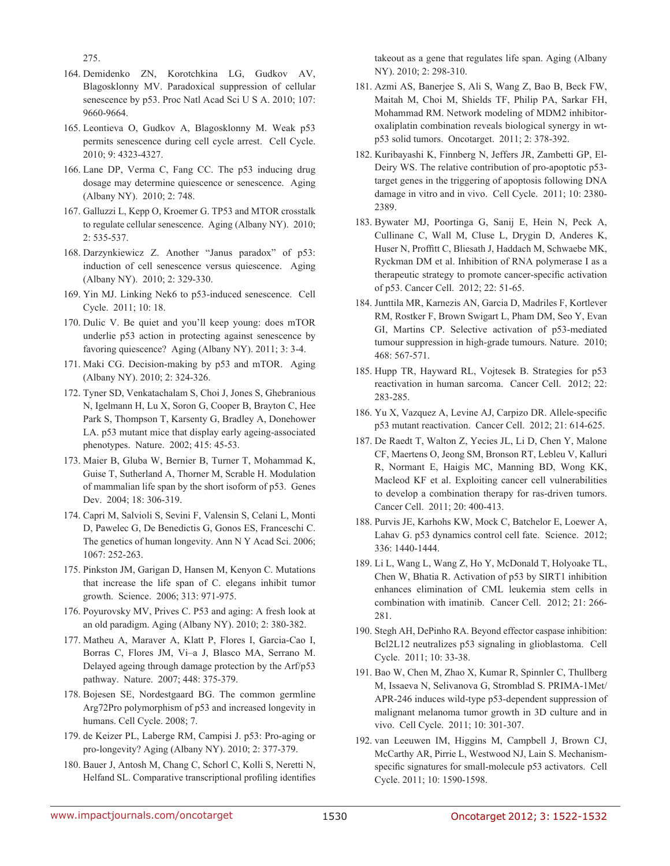275.

- 164. Demidenko ZN, Korotchkina LG, Gudkov AV, Blagosklonny MV. Paradoxical suppression of cellular senescence by p53. Proc Natl Acad Sci U S A. 2010; 107: 9660-9664.
- 165. Leontieva O, Gudkov A, Blagosklonny M. Weak p53 permits senescence during cell cycle arrest. Cell Cycle. 2010; 9: 4323-4327.
- 166. Lane DP, Verma C, Fang CC. The p53 inducing drug dosage may determine quiescence or senescence. Aging (Albany NY). 2010; 2: 748.
- 167. Galluzzi L, Kepp O, Kroemer G. TP53 and MTOR crosstalk to regulate cellular senescence. Aging (Albany NY). 2010; 2: 535-537.
- 168. Darzynkiewicz Z. Another "Janus paradox" of p53: induction of cell senescence versus quiescence. Aging (Albany NY). 2010; 2: 329-330.
- 169. Yin MJ. Linking Nek6 to p53-induced senescence. Cell Cycle. 2011; 10: 18.
- 170. Dulic V. Be quiet and you'll keep young: does mTOR underlie p53 action in protecting against senescence by favoring quiescence? Aging (Albany NY). 2011; 3: 3-4.
- 171. Maki CG. Decision-making by p53 and mTOR. Aging (Albany NY). 2010; 2: 324-326.
- 172. Tyner SD, Venkatachalam S, Choi J, Jones S, Ghebranious N, Igelmann H, Lu X, Soron G, Cooper B, Brayton C, Hee Park S, Thompson T, Karsenty G, Bradley A, Donehower LA. p53 mutant mice that display early ageing-associated phenotypes. Nature. 2002; 415: 45-53.
- 173. Maier B, Gluba W, Bernier B, Turner T, Mohammad K, Guise T, Sutherland A, Thorner M, Scrable H. Modulation of mammalian life span by the short isoform of p53. Genes Dev. 2004; 18: 306-319.
- 174. Capri M, Salvioli S, Sevini F, Valensin S, Celani L, Monti D, Pawelec G, De Benedictis G, Gonos ES, Franceschi C. The genetics of human longevity. Ann N Y Acad Sci. 2006; 1067: 252-263.
- 175. Pinkston JM, Garigan D, Hansen M, Kenyon C. Mutations that increase the life span of C. elegans inhibit tumor growth. Science. 2006; 313: 971-975.
- 176. Poyurovsky MV, Prives C. P53 and aging: A fresh look at an old paradigm. Aging (Albany NY). 2010; 2: 380-382.
- 177. Matheu A, Maraver A, Klatt P, Flores I, Garcia-Cao I, Borras C, Flores JM, Vi–a J, Blasco MA, Serrano M. Delayed ageing through damage protection by the Arf/p53 pathway. Nature. 2007; 448: 375-379.
- 178. Bojesen SE, Nordestgaard BG. The common germline Arg72Pro polymorphism of p53 and increased longevity in humans. Cell Cycle. 2008; 7.
- 179. de Keizer PL, Laberge RM, Campisi J. p53: Pro-aging or pro-longevity? Aging (Albany NY). 2010; 2: 377-379.
- 180. Bauer J, Antosh M, Chang C, Schorl C, Kolli S, Neretti N, Helfand SL. Comparative transcriptional profiling identifies

takeout as a gene that regulates life span. Aging (Albany NY). 2010; 2: 298-310.

- 181. Azmi AS, Banerjee S, Ali S, Wang Z, Bao B, Beck FW, Maitah M, Choi M, Shields TF, Philip PA, Sarkar FH, Mohammad RM. Network modeling of MDM2 inhibitoroxaliplatin combination reveals biological synergy in wtp53 solid tumors. Oncotarget. 2011; 2: 378-392.
- 182. Kuribayashi K, Finnberg N, Jeffers JR, Zambetti GP, El-Deiry WS. The relative contribution of pro-apoptotic p53 target genes in the triggering of apoptosis following DNA damage in vitro and in vivo. Cell Cycle. 2011; 10: 2380- 2389.
- 183. Bywater MJ, Poortinga G, Sanij E, Hein N, Peck A, Cullinane C, Wall M, Cluse L, Drygin D, Anderes K, Huser N, Proffitt C, Bliesath J, Haddach M, Schwaebe MK, Ryckman DM et al. Inhibition of RNA polymerase I as a therapeutic strategy to promote cancer-specific activation of p53. Cancer Cell. 2012; 22: 51-65.
- 184. Junttila MR, Karnezis AN, Garcia D, Madriles F, Kortlever RM, Rostker F, Brown Swigart L, Pham DM, Seo Y, Evan GI, Martins CP. Selective activation of p53-mediated tumour suppression in high-grade tumours. Nature. 2010; 468: 567-571.
- 185. Hupp TR, Hayward RL, Vojtesek B. Strategies for p53 reactivation in human sarcoma. Cancer Cell. 2012; 22: 283-285.
- 186. Yu X, Vazquez A, Levine AJ, Carpizo DR. Allele-specific p53 mutant reactivation. Cancer Cell. 2012; 21: 614-625.
- 187. De Raedt T, Walton Z, Yecies JL, Li D, Chen Y, Malone CF, Maertens O, Jeong SM, Bronson RT, Lebleu V, Kalluri R, Normant E, Haigis MC, Manning BD, Wong KK, Macleod KF et al. Exploiting cancer cell vulnerabilities to develop a combination therapy for ras-driven tumors. Cancer Cell. 2011; 20: 400-413.
- 188. Purvis JE, Karhohs KW, Mock C, Batchelor E, Loewer A, Lahav G. p53 dynamics control cell fate. Science. 2012; 336: 1440-1444.
- 189. Li L, Wang L, Wang Z, Ho Y, McDonald T, Holyoake TL, Chen W, Bhatia R. Activation of p53 by SIRT1 inhibition enhances elimination of CML leukemia stem cells in combination with imatinib. Cancer Cell. 2012; 21: 266- 281.
- 190. Stegh AH, DePinho RA. Beyond effector caspase inhibition: Bcl2L12 neutralizes p53 signaling in glioblastoma. Cell Cycle. 2011; 10: 33-38.
- 191. Bao W, Chen M, Zhao X, Kumar R, Spinnler C, Thullberg M, Issaeva N, Selivanova G, Stromblad S. PRIMA-1Met/ APR-246 induces wild-type p53-dependent suppression of malignant melanoma tumor growth in 3D culture and in vivo. Cell Cycle. 2011; 10: 301-307.
- 192. van Leeuwen IM, Higgins M, Campbell J, Brown CJ, McCarthy AR, Pirrie L, Westwood NJ, Lain S. Mechanismspecific signatures for small-molecule p53 activators. Cell Cycle. 2011; 10: 1590-1598.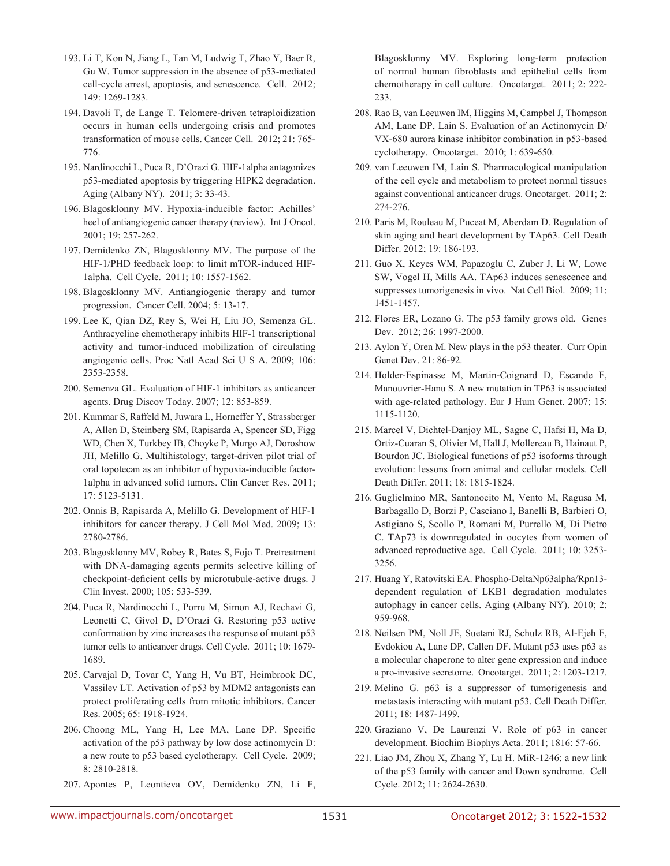- 193. Li T, Kon N, Jiang L, Tan M, Ludwig T, Zhao Y, Baer R, Gu W. Tumor suppression in the absence of p53-mediated cell-cycle arrest, apoptosis, and senescence. Cell. 2012; 149: 1269-1283.
- 194. Davoli T, de Lange T. Telomere-driven tetraploidization occurs in human cells undergoing crisis and promotes transformation of mouse cells. Cancer Cell. 2012; 21: 765- 776.
- 195. Nardinocchi L, Puca R, D'Orazi G. HIF-1alpha antagonizes p53-mediated apoptosis by triggering HIPK2 degradation. Aging (Albany NY). 2011; 3: 33-43.
- 196. Blagosklonny MV. Hypoxia-inducible factor: Achilles' heel of antiangiogenic cancer therapy (review). Int J Oncol. 2001; 19: 257-262.
- 197. Demidenko ZN, Blagosklonny MV. The purpose of the HIF-1/PHD feedback loop: to limit mTOR-induced HIF-1alpha. Cell Cycle. 2011; 10: 1557-1562.
- 198. Blagosklonny MV. Antiangiogenic therapy and tumor progression. Cancer Cell. 2004; 5: 13-17.
- 199. Lee K, Qian DZ, Rey S, Wei H, Liu JO, Semenza GL. Anthracycline chemotherapy inhibits HIF-1 transcriptional activity and tumor-induced mobilization of circulating angiogenic cells. Proc Natl Acad Sci U S A. 2009; 106: 2353-2358.
- 200. Semenza GL. Evaluation of HIF-1 inhibitors as anticancer agents. Drug Discov Today. 2007; 12: 853-859.
- 201. Kummar S, Raffeld M, Juwara L, Horneffer Y, Strassberger A, Allen D, Steinberg SM, Rapisarda A, Spencer SD, Figg WD, Chen X, Turkbey IB, Choyke P, Murgo AJ, Doroshow JH, Melillo G. Multihistology, target-driven pilot trial of oral topotecan as an inhibitor of hypoxia-inducible factor-1alpha in advanced solid tumors. Clin Cancer Res. 2011; 17: 5123-5131.
- 202. Onnis B, Rapisarda A, Melillo G. Development of HIF-1 inhibitors for cancer therapy. J Cell Mol Med. 2009; 13: 2780-2786.
- 203. Blagosklonny MV, Robey R, Bates S, Fojo T. Pretreatment with DNA-damaging agents permits selective killing of checkpoint-deficient cells by microtubule-active drugs. J Clin Invest. 2000; 105: 533-539.
- 204. Puca R, Nardinocchi L, Porru M, Simon AJ, Rechavi G, Leonetti C, Givol D, D'Orazi G. Restoring p53 active conformation by zinc increases the response of mutant p53 tumor cells to anticancer drugs. Cell Cycle. 2011; 10: 1679- 1689.
- 205. Carvajal D, Tovar C, Yang H, Vu BT, Heimbrook DC, Vassilev LT. Activation of p53 by MDM2 antagonists can protect proliferating cells from mitotic inhibitors. Cancer Res. 2005; 65: 1918-1924.
- 206. Choong ML, Yang H, Lee MA, Lane DP. Specific activation of the p53 pathway by low dose actinomycin D: a new route to p53 based cyclotherapy. Cell Cycle. 2009; 8: 2810-2818.
- 207. Apontes P, Leontieva OV, Demidenko ZN, Li F,

Blagosklonny MV. Exploring long-term protection of normal human fibroblasts and epithelial cells from chemotherapy in cell culture. Oncotarget. 2011; 2: 222- 233.

- 208. Rao B, van Leeuwen IM, Higgins M, Campbel J, Thompson AM, Lane DP, Lain S. Evaluation of an Actinomycin D/ VX-680 aurora kinase inhibitor combination in p53-based cyclotherapy. Oncotarget. 2010; 1: 639-650.
- 209. van Leeuwen IM, Lain S. Pharmacological manipulation of the cell cycle and metabolism to protect normal tissues against conventional anticancer drugs. Oncotarget. 2011; 2: 274-276.
- 210. Paris M, Rouleau M, Puceat M, Aberdam D. Regulation of skin aging and heart development by TAp63. Cell Death Differ. 2012; 19: 186-193.
- 211. Guo X, Keyes WM, Papazoglu C, Zuber J, Li W, Lowe SW, Vogel H, Mills AA. TAp63 induces senescence and suppresses tumorigenesis in vivo. Nat Cell Biol. 2009; 11: 1451-1457.
- 212. Flores ER, Lozano G. The p53 family grows old. Genes Dev. 2012; 26: 1997-2000.
- 213. Aylon Y, Oren M. New plays in the p53 theater. Curr Opin Genet Dev. 21: 86-92.
- 214. Holder-Espinasse M, Martin-Coignard D, Escande F, Manouvrier-Hanu S. A new mutation in TP63 is associated with age-related pathology. Eur J Hum Genet. 2007; 15: 1115-1120.
- 215. Marcel V, Dichtel-Danjoy ML, Sagne C, Hafsi H, Ma D, Ortiz-Cuaran S, Olivier M, Hall J, Mollereau B, Hainaut P, Bourdon JC. Biological functions of p53 isoforms through evolution: lessons from animal and cellular models. Cell Death Differ. 2011; 18: 1815-1824.
- 216. Guglielmino MR, Santonocito M, Vento M, Ragusa M, Barbagallo D, Borzi P, Casciano I, Banelli B, Barbieri O, Astigiano S, Scollo P, Romani M, Purrello M, Di Pietro C. TAp73 is downregulated in oocytes from women of advanced reproductive age. Cell Cycle. 2011; 10: 3253- 3256.
- 217. Huang Y, Ratovitski EA. Phospho-DeltaNp63alpha/Rpn13 dependent regulation of LKB1 degradation modulates autophagy in cancer cells. Aging (Albany NY). 2010; 2: 959-968.
- 218. Neilsen PM, Noll JE, Suetani RJ, Schulz RB, Al-Ejeh F, Evdokiou A, Lane DP, Callen DF. Mutant p53 uses p63 as a molecular chaperone to alter gene expression and induce a pro-invasive secretome. Oncotarget. 2011; 2: 1203-1217.
- 219. Melino G. p63 is a suppressor of tumorigenesis and metastasis interacting with mutant p53. Cell Death Differ. 2011; 18: 1487-1499.
- 220. Graziano V, De Laurenzi V. Role of p63 in cancer development. Biochim Biophys Acta. 2011; 1816: 57-66.
- 221. Liao JM, Zhou X, Zhang Y, Lu H. MiR-1246: a new link of the p53 family with cancer and Down syndrome. Cell Cycle. 2012; 11: 2624-2630.